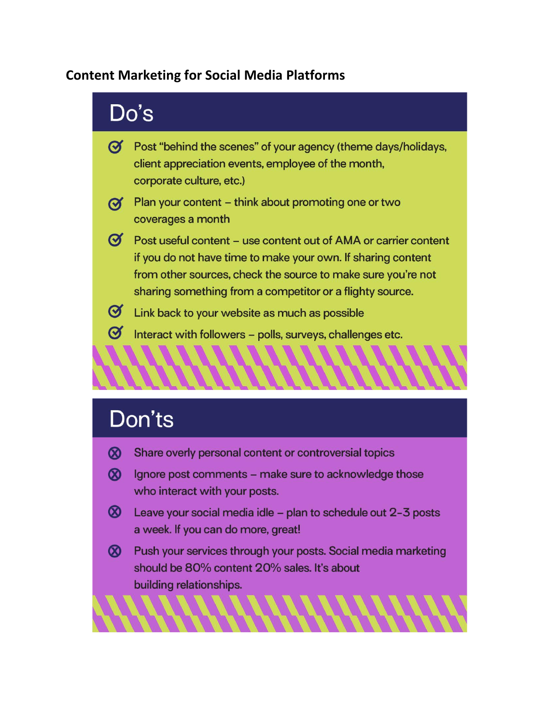## **Content Marketing for Social Media Platforms**



# Don'ts

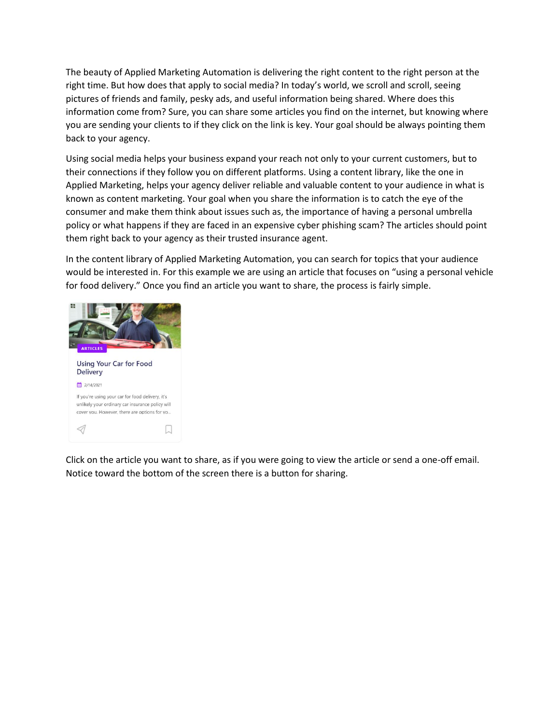The beauty of Applied Marketing Automation is delivering the right content to the right person at the right time. But how does that apply to social media? In today's world, we scroll and scroll, seeing pictures of friends and family, pesky ads, and useful information being shared. Where does this information come from? Sure, you can share some articles you find on the internet, but knowing where you are sending your clients to if they click on the link is key. Your goal should be always pointing them back to your agency.

Using social media helps your business expand your reach not only to your current customers, but to their connections if they follow you on different platforms. Using a content library, like the one in Applied Marketing, helps your agency deliver reliable and valuable content to your audience in what is known as content marketing. Your goal when you share the information is to catch the eye of the consumer and make them think about issues such as, the importance of having a personal umbrella policy or what happens if they are faced in an expensive cyber phishing scam? The articles should point them right back to your agency as their trusted insurance agent.

In the content library of Applied Marketing Automation, you can search for topics that your audience would be interested in. For this example we are using an article that focuses on "using a personal vehicle for food delivery." Once you find an article you want to share, the process is fairly simple.



Click on the article you want to share, as if you were going to view the article or send a one-off email. Notice toward the bottom of the screen there is a button for sharing.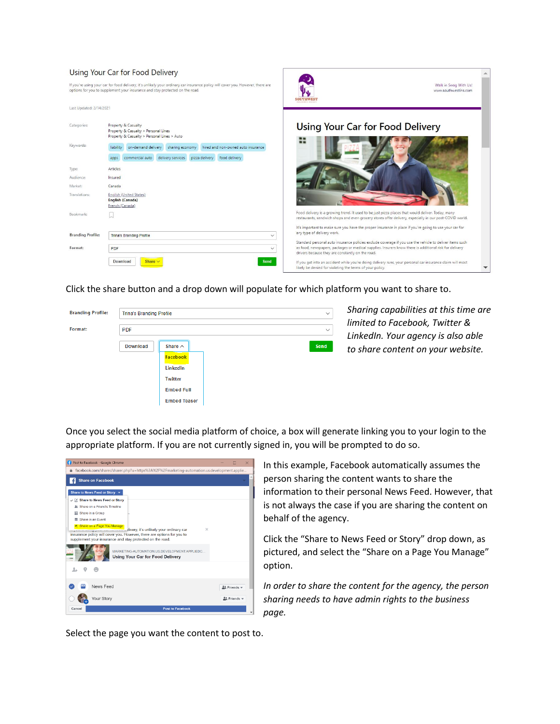#### Using Your Car for Food Delivery



Click the share button and a drop down will populate for which platform you want to share to.



*Sharing capabilities at this time are limited to Facebook, Twitter & LinkedIn. Your agency is also able to share content on your website.*

Once you select the social media platform of choice, a box will generate linking you to your login to the appropriate platform. If you are not currently signed in, you will be prompted to do so.



In this example, Facebook automatically assumes the person sharing the content wants to share the information to their personal News Feed. However, that is not always the case if you are sharing the content on behalf of the agency.

Click the "Share to News Feed or Story" drop down, as pictured, and select the "Share on a Page You Manage" option.

*In order to share the content for the agency, the person sharing needs to have admin rights to the business page.* 

Select the page you want the content to post to.